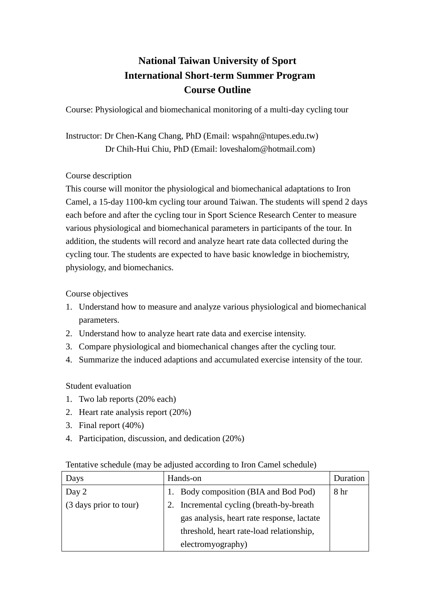## **National Taiwan University of Sport International Short-term Summer Program Course Outline**

Course: Physiological and biomechanical monitoring of a multi-day cycling tour

Instructor: Dr Chen-Kang Chang, PhD (Email: wspahn@ntupes.edu.tw) Dr Chih-Hui Chiu, PhD (Email: [loveshalom@hotmail.com\)](mailto:loveshalom@hotmail.com)

## Course description

This course will monitor the physiological and biomechanical adaptations to Iron Camel, a 15-day 1100-km cycling tour around Taiwan. The students will spend 2 days each before and after the cycling tour in Sport Science Research Center to measure various physiological and biomechanical parameters in participants of the tour. In addition, the students will record and analyze heart rate data collected during the cycling tour. The students are expected to have basic knowledge in biochemistry, physiology, and biomechanics.

Course objectives

- 1. Understand how to measure and analyze various physiological and biomechanical parameters.
- 2. Understand how to analyze heart rate data and exercise intensity.
- 3. Compare physiological and biomechanical changes after the cycling tour.
- 4. Summarize the induced adaptions and accumulated exercise intensity of the tour.

Student evaluation

- 1. Two lab reports (20% each)
- 2. Heart rate analysis report (20%)
- 3. Final report (40%)
- 4. Participation, discussion, and dedication (20%)

## Tentative schedule (may be adjusted according to Iron Camel schedule)

| Days                   | Hands-on                                   | Duration |
|------------------------|--------------------------------------------|----------|
| Day 2                  | Body composition (BIA and Bod Pod)         | 8 hr     |
| (3 days prior to tour) | 2. Incremental cycling (breath-by-breath)  |          |
|                        | gas analysis, heart rate response, lactate |          |
|                        | threshold, heart rate-load relationship,   |          |
|                        | electromyography)                          |          |